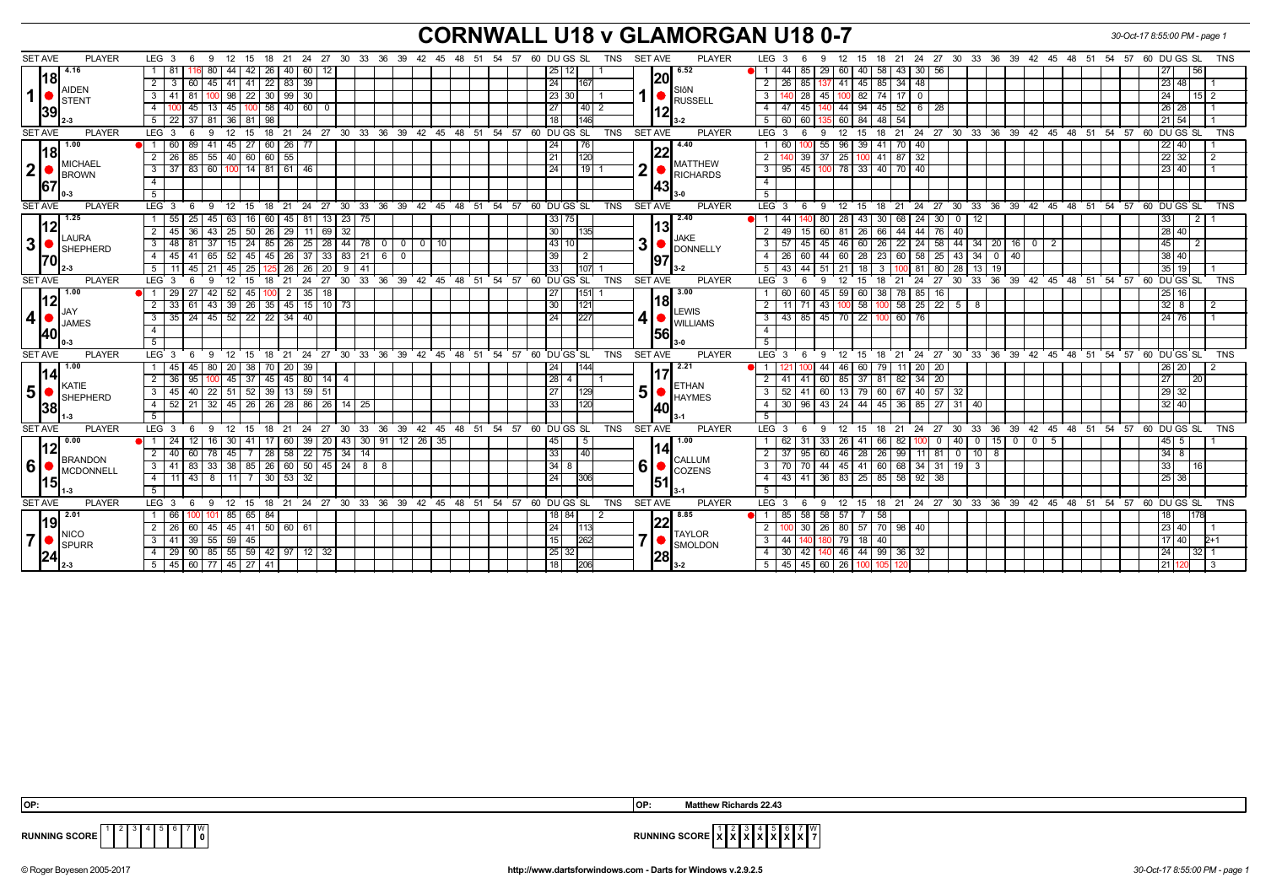## **CORNWALL U18 v GLAMORGAN U18 0-7** *30-Oct-17 8:55:00 PM - page 1*

| <b>SET AVE</b><br><b>PLAYER</b>                               | LEG <sub>3</sub><br>-9<br>6<br>15                                            | 18<br>- 21<br>-24<br>27                                 |                          | 30 33 36 39 42 45 48 51 54 57 60 DUGS SL<br>TNS           | <b>SET AVE</b><br><b>PLAYER</b>                       | LEG <sub>3</sub><br>21<br>24 27 30 33 36 39 42 45 48 51 54 57<br>60 DU GS SL<br><b>TNS</b><br>12<br>18<br>- 15                   |
|---------------------------------------------------------------|------------------------------------------------------------------------------|---------------------------------------------------------|--------------------------|-----------------------------------------------------------|-------------------------------------------------------|----------------------------------------------------------------------------------------------------------------------------------|
| 4.16<br>l18I<br>AIDEN<br>1<br>STENT<br> 39                    | 42                                                                           | 60<br>-26<br>40                                         |                          | 25                                                        | 6.52                                                  | 44<br>29<br>58<br>30 56<br>56<br>-85<br>60<br>43                                                                                 |
|                                                               | 45   41  <br>41<br>2 I<br>3<br>60                                            | 39<br>$22 \mid 83$                                      |                          | 24 <br> 167                                               | 20                                                    | 137 41 45 85 34 48<br>$\overline{2}$<br>26 85<br>23   48                                                                         |
|                                                               | 22<br>3 <sup>1</sup><br>81<br>98<br>41                                       | 30<br>$30 \mid 99$                                      |                          | 23 30                                                     | SIôN<br>RUSSELL                                       | $74$ 17<br>3<br>45<br>$100$ 82<br>24<br>$15$   2<br>28<br>$\mathbf{0}$                                                           |
|                                                               | 45<br> 45 <br>4 I<br>-13<br>100                                              | 58 40 60<br>- 0                                         |                          | 27 <br>$40$   2                                           | 12                                                    | 44   94   45   52   6   28<br>$26$   28<br>$\overline{4}$<br>47<br> 45                                                           |
|                                                               | 22<br>37<br>81<br>36<br>5<br>81                                              | 98                                                      |                          | $\overline{18}$                                           |                                                       | 21 54<br>5<br>60<br>60<br>60   84<br>48<br>-54                                                                                   |
| <b>SET AVE</b><br><b>PLAYER</b>                               | LEG <sub>3</sub><br>12<br>15<br><b>q</b>                                     | $^{\circ}$ 24<br>18<br>21                               |                          | 27 30 33 36 39 42 45 48 51 54 57 60 DUGS SL<br><b>TNS</b> | <b>SET AVE</b><br><b>PLAYER</b>                       | LEG <sup>3</sup><br>$18$ 21<br>24 27 30 33 36 39 42 45 48 51 54 57 60 DUGS SL<br><b>TNS</b><br>12 <sup>°</sup><br>15<br>9.<br>-6 |
| 1.00<br> 18 <br>MICHAEL<br>$\vert$ 2 $\vert$<br>BROWN<br>67   | 45<br>$\overline{27}$<br>60<br>89<br>41                                      | 60 26<br>77                                             |                          | 76<br>24                                                  | 4.40                                                  | 55<br>$96 \mid 39$<br>41 70 40<br>$22$ 40<br>60                                                                                  |
|                                                               | $\overline{2}$<br>85<br>40<br>60<br>55                                       | 60<br>55                                                |                          | 120<br>$\sqrt{21}$                                        | <u> 22</u><br><b>MATTHEW</b>                          | $\overline{2}$<br>$\overline{37}$<br>$41$ 87<br>32<br>22 32<br>25                                                                |
|                                                               | 3 I<br>  83   60   100   14   81   61   46<br>37 <sup>1</sup>                |                                                         |                          | 24 <br>$19$ 1                                             | 2<br>RICHARDS                                         | 3<br>100 78 33 40 70 40<br>23 40 <br>$95$ 45                                                                                     |
|                                                               | $\overline{4}$                                                               |                                                         |                          |                                                           | <b>143</b>                                            | $\overline{4}$                                                                                                                   |
|                                                               | 51                                                                           |                                                         |                          |                                                           |                                                       | 5                                                                                                                                |
| <b>SET AVE</b><br><b>PLAYER</b>                               | LEG <sub>3</sub><br>9<br>12<br>15<br>6                                       | 21 24 27 30 33 36 39 42 45 48 51 54 57 60 DUGS SL<br>18 |                          | <b>TNS</b>                                                | <b>SET AVE</b><br><b>PLAYER</b>                       | LEG <sub>3</sub><br>24 27 30 33 36 39 42 45 48 51 54 57 60 DUGS SL<br>12 15<br>18 21<br><b>TNS</b><br>- 6<br>9                   |
| 1.25<br> 12                                                   | 25<br>45<br>55<br>63<br>16                                                   | $13 \mid 23$<br>75<br>60<br>45<br>81                    |                          | 33 75                                                     | 2.40<br> 13 <br><b>JAKE</b><br>3<br>DONNELLY<br> 97   | 80<br>28<br>30<br>68   24  <br>44<br>43<br>30<br>$\mathbf 0$<br>12                                                               |
| LAURA                                                         | 2<br>45<br>25<br>50                                                          | 32<br>69<br>29                                          |                          | 30                                                        |                                                       | 28 40 <br>2<br>60<br>66<br>44<br>49<br>76<br>40<br>26                                                                            |
| 3<br>$\bullet$ SHEPHERD<br>170I                               | 24<br>3 48<br>81<br>37  <br>15                                               | 25<br>$28 \mid 44 \mid$<br>78 0 0<br>85   26            | $0$ 10                   | $\sqrt{43}$ 10                                            |                                                       | 45<br>3<br>45<br>26<br>$22 \mid 24 \mid 58$<br>$-44$ 34 20<br>57<br>46 I<br>$16$   0   2<br>60 I<br>-45                          |
|                                                               | 52<br>45<br>45<br>41<br>65                                                   | 37<br>33 83<br>21<br>45<br>l 26<br>- 6                  |                          | 39<br>2                                                   |                                                       | 38 40 <br>4<br>44<br>60<br>23<br>58<br>25<br>43 34 0<br>26<br>28<br>60<br>40                                                     |
|                                                               | 25<br>5 11 45 21<br>l 45 l                                                   | 26<br>$125$ 26<br>$20$   9<br>41                        |                          | 33<br>107                                                 |                                                       | 35 19<br>51<br>43 44<br>  51   21   18  <br>3<br>  81   80  <br>28   13   19                                                     |
| <b>SET AVE</b><br><b>PLAYER</b>                               | LEG 3<br>15<br>- 6<br>-9<br>12                                               | 18<br>- 21<br>24 27 30                                  |                          | 33 36 39 42 45 48 51 54 57 60 DUGS SL<br>TNS              | <b>SET AVE</b><br><b>PLAYER</b>                       | 60 DU GS SL<br>LEG 3<br>12<br>18<br>- 21<br>24 27<br>- 30<br>33 36 39 42 45 48 51 54 57<br><b>TNS</b><br>9<br>- 15<br>- 6        |
| 1.00                                                          | 29<br>27<br>42   52<br>45                                                    | 35<br>18<br>2 <sup>1</sup>                              |                          | 27<br>151                                                 | 3.00<br>l18l                                          | 60<br>45<br>59<br>60<br>38<br>78<br>85<br>25   16<br>60<br>16                                                                    |
| 12 <br>JAY                                                    | 26 <br>2 I<br>$43 \mid 39$<br>33<br>61                                       | $15$ 10 $73$<br>$35 \mid 45$                            |                          | 30<br>121                                                 | <b>ILEWIS</b><br>4<br><b>UNILLIAMS</b><br><b>1561</b> | $58$   25   22  <br>$32$   8<br>$\overline{2}$<br>43 <br>58<br>$5 \mid 8$<br>11   71<br>2<br>100                                 |
| 4 • <br><b>JAMES</b><br><b>140</b>                            | $35 \mid 24 \mid 45 \mid 52 \mid 22 \mid 22 \mid 34 \mid 40$<br>$\mathbf{3}$ |                                                         |                          | 24<br>227                                                 |                                                       | 43 85 45 70 22<br>60 76<br>3<br>24   76  <br>100 I                                                                               |
|                                                               | $\overline{4}$                                                               |                                                         |                          |                                                           |                                                       | $\overline{4}$                                                                                                                   |
|                                                               | 5 <sup>1</sup>                                                               |                                                         |                          |                                                           |                                                       | 5 <sup>5</sup>                                                                                                                   |
| <b>SET AVE</b><br><b>PLAYER</b>                               | LEG <sub>3</sub><br>12<br>9<br>15<br>6                                       | 24 27 30 33 36 39<br>18<br>21                           | 42 45 48<br>51           | 54 57 60 DU GS SL<br><b>TNS</b>                           | <b>SET AVE</b><br><b>PLAYER</b>                       | <b>LEG</b><br>12<br>24 27 30<br>33 36 39 42 45<br>48 51 54 57 60 DUGS SL<br>15<br>18 21<br><b>TNS</b><br>3<br>6<br>9             |
| 1.00<br>14                                                    | 38<br>45<br>45<br>80<br>20                                                   | 39<br>70<br>-20                                         |                          | 24                                                        | 2.21<br><b>ETHAN</b><br>5<br><b>HAYMES</b>            | $20\quad20$<br>44<br>46<br>79<br>26 20<br>$\overline{1}$<br>60                                                                   |
| KATIE                                                         | 2 I<br>36<br>95<br>45<br>37                                                  | 80<br>45   45  <br>14   4                               |                          | 28 <br>4                                                  |                                                       | 82 34 20<br>27 <sub>1</sub><br>2<br>60 <sub>1</sub><br>  37   81<br>-41<br>85  <br>-41                                           |
| 5 <sup>1</sup><br><b>SHEPHERD</b><br>38                       | 52<br>$\mathbf{3}$<br>45<br>40<br>22<br>51                                   | 59<br>39<br>-51<br>13                                   |                          | 27<br>129                                                 |                                                       | 60<br>57<br>$\mathbf{3}$<br>52<br>60<br>13<br>67<br>40 l<br>29 32<br>79<br>32                                                    |
|                                                               | $32$   45   26  <br>$52$   21<br>41                                          | 86 26 14<br>26 28<br>25                                 |                          | 33<br>120                                                 | <b>140</b>                                            | 32 40 <br>30   96<br>$43$   24   44  <br>45 36 85 27 31 40<br>4                                                                  |
|                                                               | 5 <sup>5</sup>                                                               |                                                         |                          |                                                           |                                                       | 5                                                                                                                                |
| <b>SET AVE</b><br><b>PLAYER</b>                               | LEG <sub>3</sub><br>- 9<br>12<br>15 18<br>- 6                                | 21 24 27 30                                             |                          | 33 36 39 42 45 48 51 54 57 60 DUGS SL<br><b>TNS</b>       | SET AVE<br><b>PLAYER</b>                              | LEG <sup>3</sup><br>18 21 24 27 30 33 36 39 42 45 48 51 54 57 60 DUGS SL<br>TNS<br>12 15<br>$6\overline{6}$<br>9                 |
| 0.00<br> 12 <br>BRANDON<br>16   MCDONNELL<br> 15              |                                                                              | 39<br>20<br>  43                                        | $30$   91   12   26   35 | 45<br>5                                                   | 1.00<br>141                                           | 40<br>33<br>66<br>15<br>$0 1 0 1$<br>45   5<br>26<br>0<br>5                                                                      |
|                                                               | $2 \mid 40$<br>60<br>45<br>78                                                | 22<br>28 58<br>75 34<br>14                              |                          | $\overline{33}$<br>40                                     | <b>CALLUM</b>                                         | $\overline{2}$<br>26<br>$99$ 11 81<br>$34$ 8<br>37<br>60<br>46   28  <br>$0$ 10 8<br>95                                          |
|                                                               | 3 I<br>41   83  <br>85<br>33   38                                            | 50<br>$26 \mid 60$<br>8<br>45 24<br>8                   |                          | 34 <br>8                                                  | 6<br>$\bullet$ COZENS                                 | $\mathbf{3}$<br>44 45 41 60 68 34 31<br>19<br>33<br>70 70<br>- 3                                                                 |
|                                                               | 4<br>11 43 8 11 7                                                            | 32<br>$30 \mid 53 \mid$                                 |                          | $\overline{24}$<br>306                                    | 51                                                    | 43 41 36 83 25 85 58 92 38<br>$25$ 38<br>4                                                                                       |
|                                                               | 5 <sup>5</sup>                                                               |                                                         |                          |                                                           |                                                       | 5 <sup>7</sup>                                                                                                                   |
| <b>SET AVE</b><br><b>PLAYER</b>                               | LEG <sub>3</sub><br>9<br>12<br>15<br>- 6                                     | 21 24 27 30 33 36 39 42 45 48 51 54 57 60 DUGS SL<br>18 |                          | TNS                                                       | <b>SET AVE</b><br><b>PLAYER</b>                       | LEG <sub>3</sub><br>18  21  24  27  30  33  36  39  42  45  48  51  54  57  60  DUGS SL<br>12<br><b>TNS</b><br>9<br>15<br>-6     |
| 2.01<br> 19                                                   | 66<br>85<br>65 I                                                             | 84                                                      |                          | 18   84                                                   | 8.85                                                  | 58   57<br>58<br>18 I<br>85<br>-58                                                                                               |
| $\blacksquare$ NICO<br>7 <sup>1</sup><br><b>ISPURR</b><br> 24 | 45   45   41  <br>60<br>2 I<br><b>26</b>                                     | 50 60 61                                                |                          | 24                                                        | <b>TAYLOR</b>                                         | 26   80   57   70   98   40<br>23 40 <br>2<br>30                                                                                 |
|                                                               | 41 39 55 59 45<br>3 I                                                        |                                                         |                          | 15<br>262                                                 | $\overline{7}$<br>SMOLDON                             | $\mathbf{3}$<br>44<br>79   18   40<br>17   40  <br>$2+1$                                                                         |
|                                                               | 59 <br>$85 \mid 55 \mid$<br>29   90                                          | 42 97 12 32                                             |                          | 25 32                                                     | 28                                                    | 46 44 99 36 32<br>$32$   1<br>4<br>$30 \mid 42 \mid$<br>24<br>140                                                                |
| " 2-3                                                         | 5   45   60   77   45   27                                                   | 41                                                      |                          | 18                                                        |                                                       | $5 \vert$<br>45 45 60 26 1<br>21 120<br>105<br>100 I                                                                             |



**RUNNING SCORE**  $\begin{bmatrix} 1 & 2 & 3 & 4 & 5 & 6 & 7 & 00 \\ 0 & 0 & 0 & 0 & 0 & 0 \\ 0 & 0 & 0 & 0 & 0 & 0 \\ 0 & 0 & 0 & 0 & 0 & 0 \\ 0 & 0 & 0 & 0 & 0 & 0 \\ 0 & 0 & 0 & 0 & 0 & 0 \\ 0 & 0 & 0 & 0 & 0 & 0 \\ 0 & 0 & 0 & 0 & 0 & 0 \\ 0 & 0 & 0 & 0 & 0 & 0 \\ 0 & 0 & 0 & 0 & 0 & 0 & 0 \\ 0 & 0 & 0$ 

 **OP: OP: Matthew Richards 22.43**